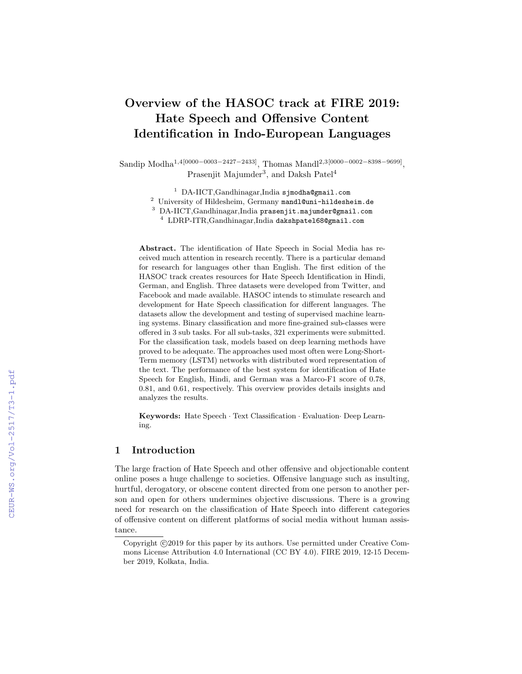# Overview of the HASOC track at FIRE 2019: Hate Speech and Offensive Content Identification in Indo-European Languages

Sandip Modha1,4[0000−0003−2427−2433], Thomas Mandl2,3[0000−0002−8398−9699] , Prasenjit Majumder<sup>3</sup>, and Daksh Patel<sup>4</sup>

<sup>1</sup> DA-IICT, Gandhinagar, India sjmodha@gmail.com

<sup>2</sup> University of Hildesheim, Germany mandl@uni-hildesheim.de

<sup>3</sup> DA-IICT,Gandhinagar,India prasenjit.majumder@gmail.com

<sup>4</sup> LDRP-ITR,Gandhinagar,India dakshpatel68@gmail.com

Abstract. The identification of Hate Speech in Social Media has received much attention in research recently. There is a particular demand for research for languages other than English. The first edition of the HASOC track creates resources for Hate Speech Identification in Hindi, German, and English. Three datasets were developed from Twitter, and Facebook and made available. HASOC intends to stimulate research and development for Hate Speech classification for different languages. The datasets allow the development and testing of supervised machine learning systems. Binary classification and more fine-grained sub-classes were offered in 3 sub tasks. For all sub-tasks, 321 experiments were submitted. For the classification task, models based on deep learning methods have proved to be adequate. The approaches used most often were Long-Short-Term memory (LSTM) networks with distributed word representation of the text. The performance of the best system for identification of Hate Speech for English, Hindi, and German was a Marco-F1 score of 0.78, 0.81, and 0.61, respectively. This overview provides details insights and analyzes the results.

Keywords: Hate Speech · Text Classification · Evaluation· Deep Learning.

# 1 Introduction

The large fraction of Hate Speech and other offensive and objectionable content online poses a huge challenge to societies. Offensive language such as insulting, hurtful, derogatory, or obscene content directed from one person to another person and open for others undermines objective discussions. There is a growing need for research on the classification of Hate Speech into different categories of offensive content on different platforms of social media without human assistance.

Copyright  $\odot$ 2019 for this paper by its authors. Use permitted under Creative Commons License Attribution 4.0 International (CC BY 4.0). FIRE 2019, 12-15 December 2019, Kolkata, India.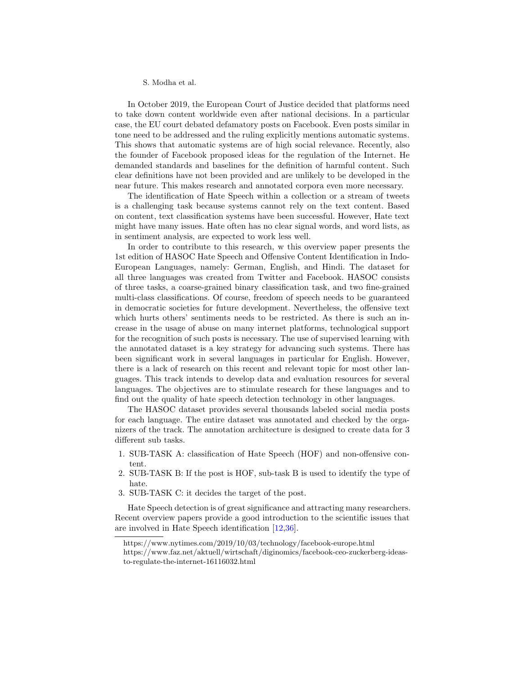In October 2019, the European Court of Justice decided that platforms need to take down content worldwide even after national decisions. In a particular case, the EU court debated defamatory posts on Facebook. Even posts similar in tone need to be addressed and the ruling explicitly mentions automatic system[s.](#page-1-0) This shows that automatic systems are of high social relevance. Recently, also the founder of Facebook proposed ideas for the regulation of the Internet. He demanded standards and baselines for the definition of harmful conten[t.](#page-1-1) Such clear definitions have not been provided and are unlikely to be developed in the near future. This makes research and annotated corpora even more necessary.

The identification of Hate Speech within a collection or a stream of tweets is a challenging task because systems cannot rely on the text content. Based on content, text classification systems have been successful. However, Hate text might have many issues. Hate often has no clear signal words, and word lists, as in sentiment analysis, are expected to work less well.

In order to contribute to this research, w this overview paper presents the 1st edition of HASOC Hate Speech and Offensive Content Identification in Indo-European Languages, namely: German, English, and Hindi. The dataset for all three languages was created from Twitter and Facebook. HASOC consists of three tasks, a coarse-grained binary classification task, and two fine-grained multi-class classifications. Of course, freedom of speech needs to be guaranteed in democratic societies for future development. Nevertheless, the offensive text which hurts others' sentiments needs to be restricted. As there is such an increase in the usage of abuse on many internet platforms, technological support for the recognition of such posts is necessary. The use of supervised learning with the annotated dataset is a key strategy for advancing such systems. There has been significant work in several languages in particular for English. However, there is a lack of research on this recent and relevant topic for most other languages. This track intends to develop data and evaluation resources for several languages. The objectives are to stimulate research for these languages and to find out the quality of hate speech detection technology in other languages.

The HASOC dataset provides several thousands labeled social media posts for each language. The entire dataset was annotated and checked by the organizers of the track. The annotation architecture is designed to create data for 3 different sub tasks.

- 1. SUB-TASK A: classification of Hate Speech (HOF) and non-offensive content.
- 2. SUB-TASK B: If the post is HOF, sub-task B is used to identify the type of hate.
- 3. SUB-TASK C: it decides the target of the post.

Hate Speech detection is of great significance and attracting many researchers. Recent overview papers provide a good introduction to the scientific issues that are involved in Hate Speech identification [\[12,](#page-18-0)[36\]](#page-20-0).

<span id="page-1-0"></span>https://www.nytimes.com/2019/10/03/technology/facebook-europe.html

<span id="page-1-1"></span>https://www.faz.net/aktuell/wirtschaft/diginomics/facebook-ceo-zuckerberg-ideasto-regulate-the-internet-16116032.html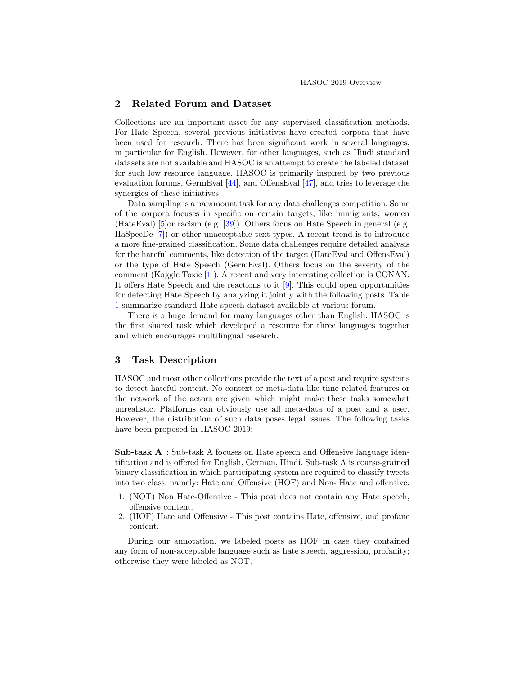# 2 Related Forum and Dataset

Collections are an important asset for any supervised classification methods. For Hate Speech, several previous initiatives have created corpora that have been used for research. There has been significant work in several languages, in particular for English. However, for other languages, such as Hindi standard datasets are not available and HASOC is an attempt to create the labeled dataset for such low resource language. HASOC is primarily inspired by two previous evaluation forums, GermEval [\[44\]](#page-20-1), and OffensEval [\[47\]](#page-21-0), and tries to leverage the synergies of these initiatives.

Data sampling is a paramount task for any data challenges competition. Some of the corpora focuses in specific on certain targets, like immigrants, women (HateEval) [\[5\]](#page-18-1)or racism (e.g. [\[39\]](#page-20-2)). Others focus on Hate Speech in general (e.g. HaSpeeDe [\[7\]](#page-18-2)) or other unacceptable text types. A recent trend is to introduce a more fine-grained classification. Some data challenges require detailed analysis for the hateful comments, like detection of the target (HateEval and OffensEval) or the type of Hate Speech (GermEval). Others focus on the severity of the comment (Kaggle Toxic [\[1\]](#page-18-3)). A recent and very interesting collection is CONAN. It offers Hate Speech and the reactions to it [\[9\]](#page-18-4). This could open opportunities for detecting Hate Speech by analyzing it jointly with the following posts. Table [1](#page-3-0) summarize standard Hate speech dataset available at various forum.

There is a huge demand for many languages other than English. HASOC is the first shared task which developed a resource for three languages together and which encourages multilingual research.

# 3 Task Description

HASOC and most other collections provide the text of a post and require systems to detect hateful content. No context or meta-data like time related features or the network of the actors are given which might make these tasks somewhat unrealistic. Platforms can obviously use all meta-data of a post and a user. However, the distribution of such data poses legal issues. The following tasks have been proposed in HASOC 2019:

Sub-task A : Sub-task A focuses on Hate speech and Offensive language identification and is offered for English, German, Hindi. Sub-task A is coarse-grained binary classification in which participating system are required to classify tweets into two class, namely: Hate and Offensive (HOF) and Non- Hate and offensive.

- 1. (NOT) Non Hate-Offensive This post does not contain any Hate speech, offensive content.
- 2. (HOF) Hate and Offensive This post contains Hate, offensive, and profane content.

During our annotation, we labeled posts as HOF in case they contained any form of non-acceptable language such as hate speech, aggression, profanity; otherwise they were labeled as NOT.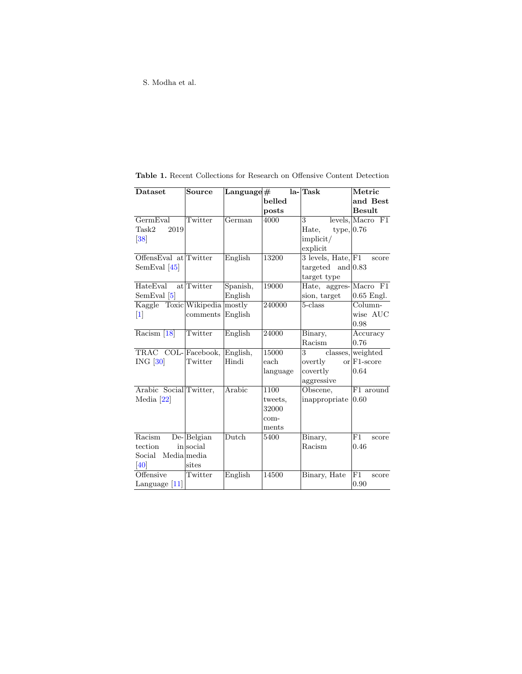| Dataset                       | Source           | $\rm{Language}$ #          |          | la-Task                                                  | Metric               |
|-------------------------------|------------------|----------------------------|----------|----------------------------------------------------------|----------------------|
|                               |                  |                            | belled   |                                                          | and Best             |
|                               |                  |                            | posts    |                                                          | <b>Besult</b>        |
| GermEval                      | Twitter          | $\overline{\text{German}}$ | 4000     | $\mathbf{3}$                                             | $levels,$ Macro $F1$ |
| 2019<br>Task2                 |                  |                            |          | type,  0.76<br>Hate,                                     |                      |
| 38                            |                  |                            |          | implicit/                                                |                      |
|                               |                  |                            |          | explicit                                                 |                      |
| OffensEval at Twitter         |                  | English                    | 13200    | 3 levels, $\overline{\text{Hate}}, \overline{\text{F1}}$ | score                |
| SemEval $[45]$                |                  |                            |          | targeted and $ 0.83 $                                    |                      |
|                               |                  |                            |          | target type                                              |                      |
| HateEval                      | at Twitter       | Spanish,                   | 19000    | Hate, aggres-Macro F1                                    |                      |
| SemEval $[5]$                 |                  | English                    |          | sion, target                                             | $0.65$ Engl.         |
| Kaggle Toxic Wikipedia mostly |                  |                            | 240000   | 5-class                                                  | Column-              |
| 1                             | comments         | English                    |          |                                                          | wise AUC             |
|                               |                  |                            |          |                                                          | 0.98                 |
| Racism <sup>[18]</sup>        | Twitter          | English                    | 24000    | Binary,                                                  | Accuracy             |
|                               |                  |                            |          | Racism                                                   | 0.76                 |
| TRAC COL-Facebook, English,   |                  |                            | 15000    | 3                                                        | classes, weighted    |
| $ING$ [30]                    | Twitter          | Hindi                      | each     | overtly                                                  | $\alpha$ F1-score    |
|                               |                  |                            | language | covertly                                                 | 0.64                 |
|                               |                  |                            |          | aggressive                                               |                      |
| Arabic Social Twitter,        |                  | Arabic                     | 1100     | Obscene,                                                 | F1 around            |
| Media $[22]$                  |                  |                            | tweets,  | inappropriate                                            | 0.60                 |
|                               |                  |                            | 32000    |                                                          |                      |
|                               |                  |                            | com-     |                                                          |                      |
|                               |                  |                            | ments    |                                                          |                      |
| Racism                        | $De$ - $Belgian$ | Dutch                      | 5400     | Binary,                                                  | F1<br>score          |
| tection                       | insocial         |                            |          | Racism                                                   | 0.46                 |
| Social Media media            |                  |                            |          |                                                          |                      |
| 40                            | sites            |                            |          |                                                          |                      |
| Offensive                     | Twitter          | English                    | 14500    | Binary, Hate                                             | F1<br>score          |
| Language $[11]$               |                  |                            |          |                                                          | 0.90                 |

<span id="page-3-0"></span>Table 1. Recent Collections for Research on Offensive Content Detection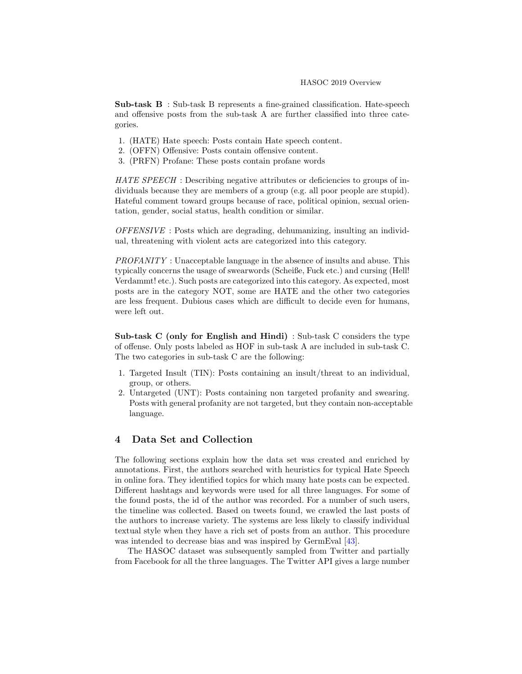Sub-task B : Sub-task B represents a fine-grained classification. Hate-speech and offensive posts from the sub-task A are further classified into three categories.

- 1. (HATE) Hate speech: Posts contain Hate speech content.
- 2. (OFFN) Offensive: Posts contain offensive content.
- 3. (PRFN) Profane: These posts contain profane words

HATE SPEECH : Describing negative attributes or deficiencies to groups of individuals because they are members of a group (e.g. all poor people are stupid). Hateful comment toward groups because of race, political opinion, sexual orientation, gender, social status, health condition or similar.

OFFENSIVE : Posts which are degrading, dehumanizing, insulting an individual, threatening with violent acts are categorized into this category.

PROFANITY : Unacceptable language in the absence of insults and abuse. This typically concerns the usage of swearwords (Scheiße, Fuck etc.) and cursing (Hell! Verdammt! etc.). Such posts are categorized into this category. As expected, most posts are in the category NOT, some are HATE and the other two categories are less frequent. Dubious cases which are difficult to decide even for humans, were left out.

Sub-task C (only for English and Hindi) : Sub-task C considers the type of offense. Only posts labeled as HOF in sub-task A are included in sub-task C. The two categories in sub-task C are the following:

- 1. Targeted Insult (TIN): Posts containing an insult/threat to an individual, group, or others.
- 2. Untargeted (UNT): Posts containing non targeted profanity and swearing. Posts with general profanity are not targeted, but they contain non-acceptable language.

# 4 Data Set and Collection

The following sections explain how the data set was created and enriched by annotations. First, the authors searched with heuristics for typical Hate Speech in online fora. They identified topics for which many hate posts can be expected. Different hashtags and keywords were used for all three languages. For some of the found posts, the id of the author was recorded. For a number of such users, the timeline was collected. Based on tweets found, we crawled the last posts of the authors to increase variety. The systems are less likely to classify individual textual style when they have a rich set of posts from an author. This procedure was intended to decrease bias and was inspired by GermEval [\[43\]](#page-20-7).

The HASOC dataset was subsequently sampled from Twitter and partially from Facebook for all the three languages. The Twitter API gives a large number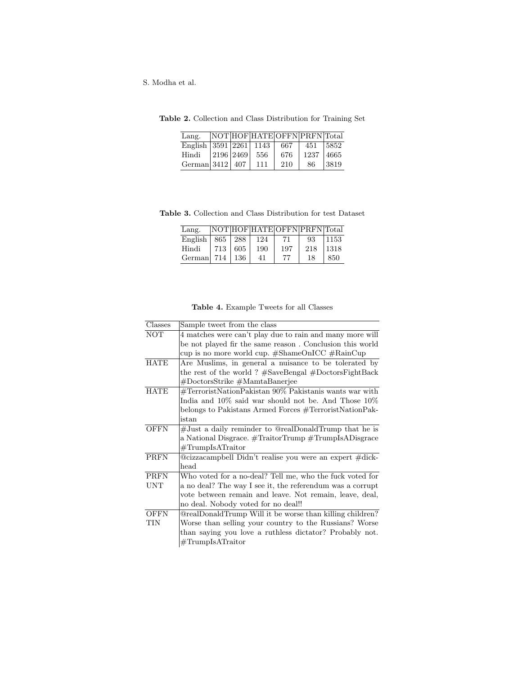<span id="page-5-0"></span>

| Lang.                        |           | NOT HOF HATE OFFN PRFN Total |     |      |       |
|------------------------------|-----------|------------------------------|-----|------|-------|
| English   3591   2261   1143 |           |                              | 667 | 451  | 15852 |
| Hindi                        | 2196 2469 | -556                         | 676 | 1237 | 4665  |
| German $3412$   407          |           | 111                          | 210 | 86   | 3819  |

Table 2. Collection and Class Distribution for Training Set

Table 3. Collection and Class Distribution for test Dataset

<span id="page-5-1"></span>

| Lang.                 |     |      |     |     | NOT HOF HATE OF FN PRFN Total |      |
|-----------------------|-----|------|-----|-----|-------------------------------|------|
| English   $865$   288 |     |      | 124 | 71  | 93                            | 1153 |
| Hindi                 | 713 | 605  | 190 | 197 | 218                           | 1318 |
| German 714            |     | -136 |     | 77  | 18                            | 850  |

|  | Table 4. Example Tweets for all Classes |  |  |  |  |
|--|-----------------------------------------|--|--|--|--|
|--|-----------------------------------------|--|--|--|--|

| Classes     | Sample tweet from the class                               |
|-------------|-----------------------------------------------------------|
| <b>NOT</b>  | 4 matches were can't play due to rain and many more will  |
|             | be not played fir the same reason. Conclusion this world  |
|             | cup is no more world cup. #ShameOnICC #RainCup            |
| <b>HATE</b> | Are Muslims, in general a nuisance to be tolerated by     |
|             | the rest of the world? $#SaveBengal \#DectorsFightBack$   |
|             | #DoctorsStrike #MamtaBanerjee                             |
| <b>HATE</b> | #TerroristNationPakistan 90% Pakistanis wants war with    |
|             | India and $10\%$ said war should not be. And Those $10\%$ |
|             | belongs to Pakistans Armed Forces #TerroristNationPak-    |
|             | istan                                                     |
| <b>OFFN</b> | #Just a daily reminder to @realDonaldTrump that he is     |
|             | a National Disgrace. #TraitorTrump #TrumpIsADisgrace      |
|             | $\#\mathrm{TrumpIsATraitor}$                              |
| <b>PRFN</b> | @cizzacampbell Didn't realise you were an expert #dick-   |
|             | head                                                      |
| <b>PRFN</b> | Who voted for a no-deal? Tell me, who the fuck voted for  |
| <b>UNT</b>  | a no deal? The way I see it, the referendum was a corrupt |
|             | vote between remain and leave. Not remain, leave, deal,   |
|             | no deal. Nobody voted for no deal!!                       |
| <b>OFFN</b> | @realDonaldTrump Will it be worse than killing children?  |
| TIN         | Worse than selling your country to the Russians? Worse    |
|             | than saying you love a ruthless dictator? Probably not.   |
|             | $\#\text{TrumpIsATraitor}$                                |
|             |                                                           |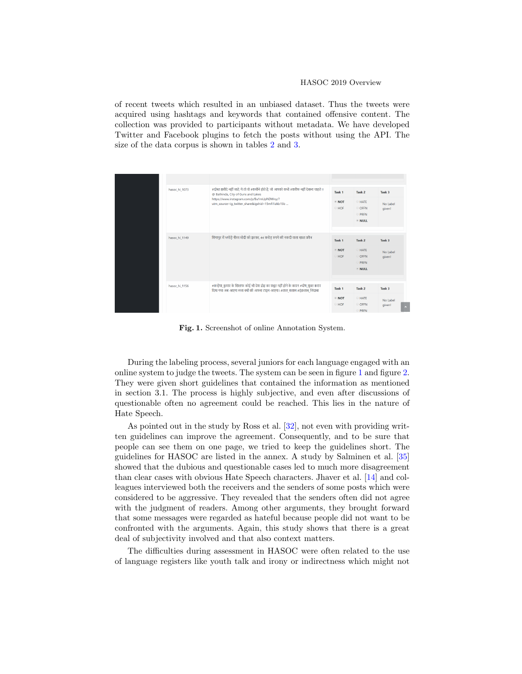of recent tweets which resulted in an unbiased dataset. Thus the tweets were acquired using hashtags and keywords that contained offensive content. The collection was provided to participants without metadata. We have developed Twitter and Facebook plugins to fetch the posts without using the API. The size of the data corpus is shown in tables [2](#page-5-0) and [3.](#page-5-1)

| hasoc hi 1073 | #दोस्त ख़रीदे नहीं जाते, ये तो वो #कमीने होते है, जो आपको कभी #शरीफ नहीं देखना चाहते !!<br>@ Bathinda, City of Guns and Lakes<br>https://www.instagram.com/p/Bu1mUpNDWny/?<br>utm_source=ig_twitter_share&igshid=15mfi1izkb15b | Task <sub>1</sub><br>$\bullet$ NOT<br>HOF        | Task <sub>2</sub><br><b>E</b> HATE<br>© OFFN<br>PRFN<br><b>NULL</b>           | Task <sub>3</sub><br>No Label<br>given!           |
|---------------|--------------------------------------------------------------------------------------------------------------------------------------------------------------------------------------------------------------------------------|--------------------------------------------------|-------------------------------------------------------------------------------|---------------------------------------------------|
| hasoc_hi_1149 | सिंगापुर में भगोड़े नीरव मोदी को झटका, 44 करोड़ रुपये की नकदी वाला खाता फ्रीज                                                                                                                                                  | Task <sub>1</sub><br>$\bullet$ NOT<br><b>HOF</b> | Task <sub>2</sub><br><b>HATE</b><br><b>OFFN</b><br><b>PRFN</b><br><b>NULL</b> | Task <sub>3</sub><br>No Label<br>given!           |
| hasoc hi 1156 | #कन्हैया_कुमार के खिलाफ कोई भी देश द्रोह का सबूत नहीं होने के कारन #दोष_मुक्त करार<br>दिया गया अब आएगा मजा क्यों की आपना टाइम आएगा। #लाल सलाम #ईक़लाब जिंदाबा                                                                  | Task <sub>1</sub><br>$\bullet$ NOT<br>HOF        | Task <sub>2</sub><br><b>HATE</b><br>© OFFN<br>PRFN                            | Task <sub>3</sub><br>No Label<br>given!<br>$\sim$ |

<span id="page-6-0"></span>Fig. 1. Screenshot of online Annotation System.

During the labeling process, several juniors for each language engaged with an online system to judge the tweets. The system can be seen in figure [1](#page-6-0) and figure [2.](#page-7-0) They were given short guidelines that contained the information as mentioned in section 3.1. The process is highly subjective, and even after discussions of questionable often no agreement could be reached. This lies in the nature of Hate Speech.

As pointed out in the study by Ross et al. [\[32\]](#page-20-8), not even with providing written guidelines can improve the agreement. Consequently, and to be sure that people can see them on one page, we tried to keep the guidelines short. The guidelines for HASOC are listed in the annex. A study by Salminen et al. [\[35\]](#page-20-9) showed that the dubious and questionable cases led to much more disagreement than clear cases with obvious Hate Speech characters. Jhaver et al. [\[14\]](#page-18-6) and colleagues interviewed both the receivers and the senders of some posts which were considered to be aggressive. They revealed that the senders often did not agree with the judgment of readers. Among other arguments, they brought forward that some messages were regarded as hateful because people did not want to be confronted with the arguments. Again, this study shows that there is a great deal of subjectivity involved and that also context matters.

The difficulties during assessment in HASOC were often related to the use of language registers like youth talk and irony or indirectness which might not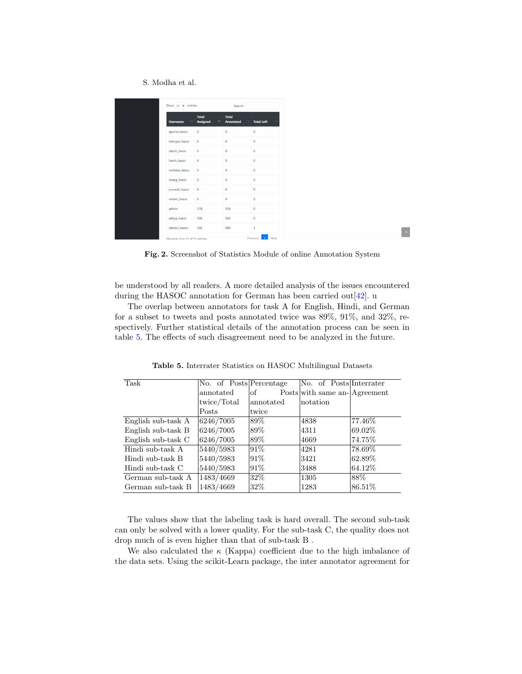| Show $25 \div$ entries        |                                       | Search:                                |                         |
|-------------------------------|---------------------------------------|----------------------------------------|-------------------------|
| <b>Username</b><br>11         | <b>Total</b><br><b>Assigned</b><br>11 | <b>Total</b><br><b>Annotated</b><br>11 | 11<br><b>Total Left</b> |
| apurva_hasoc                  | $\mathbf 0$                           | $\mathbf{0}$                           | $\mathbf{0}$            |
| bhargav_hasoc                 | $\mathbf 0$                           | $\mathbf{0}$                           | $\mathbf{0}$            |
| daksh hasoc                   | $\mathbf 0$                           | $\mathbf{0}$                           | $\mathbf{0}$            |
| harsh_hasoc                   | $\mathbf 0$                           | $\mathbf{0}$                           | $\mathbf{0}$            |
| mohana_hasoc                  | $\mathbf{0}$                          | $\mathbf{0}$                           | $\theta$                |
| nisarq_hasoc                  | $\mathbf{0}$                          | $\ddot{\mathbf{0}}$                    | $\mathbf{0}$            |
| purvesh_hasoc                 | $\mathbf{0}$                          | $\ddot{\mathbf{0}}$                    | $\mathbf{0}$            |
| soham hasoc                   | $\mathbf{0}$                          | $\ddot{\mathbf{0}}$                    | $\theta$                |
| admin                         | 318                                   | 318                                    | $\theta$                |
| aditya_hasoc                  | 500                                   | 500                                    | $\theta$                |
| daksh2_hasoc                  | 500                                   | 499                                    | 1                       |
| Showing 1 to 11 of 11 entries |                                       |                                        | Previous<br><b>Next</b> |

<span id="page-7-0"></span>Fig. 2. Screenshot of Statistics Module of online Annotation System

be understood by all readers. A more detailed analysis of the issues encountered during the HASOC annotation for German has been carried out  $[42]$ . u

The overlap between annotators for task A for English, Hindi, and German for a subset to tweets and posts annotated twice was 89%, 91%, and 32%, respectively. Further statistical details of the annotation process can be seen in table [5.](#page-7-1) The effects of such disagreement need to be analyzed in the future.

| Task               | No. of Posts Percentage |           | No. of Posts Interrater      |         |
|--------------------|-------------------------|-----------|------------------------------|---------|
|                    | annotated               | of        | Posts with same an-Agreement |         |
|                    | twice/Total             | annotated | notation                     |         |
|                    | Posts                   | twice     |                              |         |
| English sub-task A | 6246/7005               | 89%       | 4838                         | 77.46%  |
| English sub-task B | 6246/7005               | 89%       | 4311                         | 69.02\% |
| English sub-task C | 6246/7005               | 89%       | 4669                         | 74.75%  |
| Hindi sub-task A   | 5440/5983               | 91\%      | 4281                         | 78.69%  |
| Hindi sub-task B   | 5440/5983               | 91%       | 3421                         | 62.89%  |
| Hindi sub-task C   | 5440/5983               | 91%       | 3488                         | 64.12\% |
| German sub-task A  | 1483/4669               | 32%       | 1305                         | 88\%    |
| German sub-task B  | 1483/4669               | 32\%      | 1283                         | 86.51\% |

<span id="page-7-1"></span>Table 5. Interrater Statistics on HASOC Multilingual Datasets

The values show that the labeling task is hard overall. The second sub-task can only be solved with a lower quality. For the sub-task C, the quality does not drop much of is even higher than that of sub-task B .

We also calculated the  $\kappa$  (Kappa) coefficient due to the high imbalance of the data sets. Using the scikit-Learn package, the inter annotator agreement for

 $\mathbb{R}^n$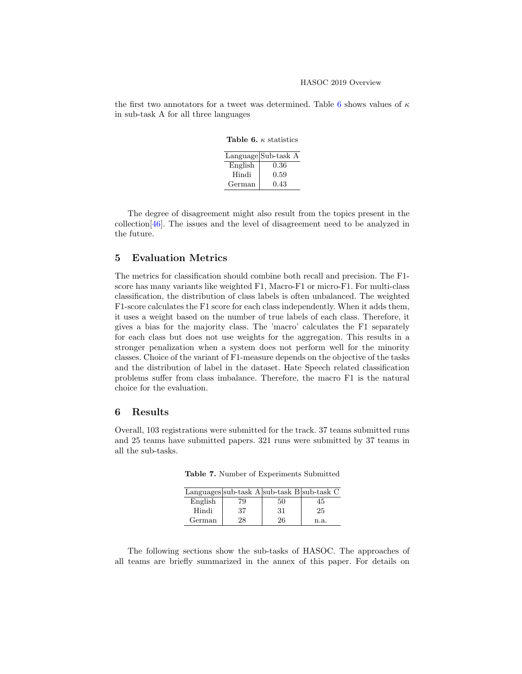the first two annotators for a tweet was determined. Table [6](#page-8-0) shows values of  $\kappa$ in sub-task A for all three languages

<span id="page-8-0"></span>Table 6.  $\kappa$  statistics

|         | Language Sub-task A |
|---------|---------------------|
| English | 0.36                |
| Hindi   | 0.59                |
| German  | 0.43                |

The degree of disagreement might also result from the topics present in the collection[\[46\]](#page-21-1). The issues and the level of disagreement need to be analyzed in the future.

# 5 Evaluation Metrics

The metrics for classification should combine both recall and precision. The F1 score has many variants like weighted F1, Macro-F1 or micro-F1. For multi-class classification, the distribution of class labels is often unbalanced. The weighted F1-score calculates the F1 score for each class independently. When it adds them, it uses a weight based on the number of true labels of each class. Therefore, it gives a bias for the majority class. The 'macro' calculates the F1 separately for each class but does not use weights for the aggregation. This results in a stronger penalization when a system does not perform well for the minority classes. Choice of the variant of F1-measure depends on the objective of the tasks and the distribution of label in the dataset. Hate Speech related classification problems suffer from class imbalance. Therefore, the macro F1 is the natural choice for the evaluation.

### 6 Results

Overall, 103 registrations were submitted for the track. 37 teams submitted runs and 25 teams have submitted papers. 321 runs were submitted by 37 teams in all the sub-tasks.

|         | Languages sub-task A sub-task B sub-task C |    |      |
|---------|--------------------------------------------|----|------|
| English | 7Q                                         | 50 | ר 1  |
| Hindi   | 37                                         | 31 | 25   |
| German  | 28                                         | 26 | n.a. |

Table 7. Number of Experiments Submitted

The following sections show the sub-tasks of HASOC. The approaches of all teams are briefly summarized in the annex of this paper. For details on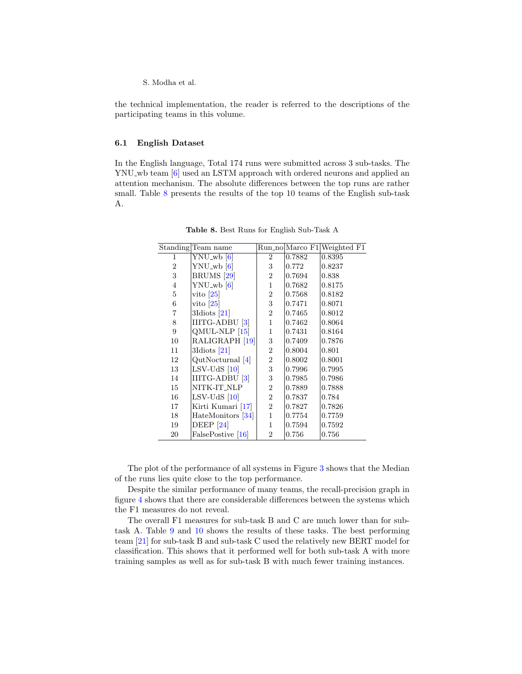the technical implementation, the reader is referred to the descriptions of the participating teams in this volume.

#### 6.1 English Dataset

In the English language, Total 174 runs were submitted across 3 sub-tasks. The YNU wb team [\[6\]](#page-18-7) used an LSTM approach with ordered neurons and applied an attention mechanism. The absolute differences between the top runs are rather small. Table [8](#page-9-0) presents the results of the top 10 teams of the English sub-task A.

|    | Standing Team name          |                |        | Run_no Marco F1 Weighted F1 |
|----|-----------------------------|----------------|--------|-----------------------------|
| 1  | $YNU$ <sub>-W</sub> b $[6]$ | $\overline{2}$ | 0.7882 | 0.8395                      |
| 2  | $YNU$ <sub>-wb</sub> $[6]$  | 3              | 0.772  | 0.8237                      |
| 3  | BRUMS <sup>[29]</sup>       | $\overline{2}$ | 0.7694 | 0.838                       |
| 4  | $YNU_wb$ [6]                | 1              | 0.7682 | 0.8175                      |
| 5  | vito $[25]$                 | $\overline{2}$ | 0.7568 | 0.8182                      |
| 6  | vito $ 25 $                 | 3              | 0.7471 | 0.8071                      |
| 7  | $3$ Idiots $[21]$           | $\overline{2}$ | 0.7465 | 0.8012                      |
| 8  | IIITG-ADBU [3]              | 1              | 0.7462 | 0.8064                      |
| 9  | $QMUL-NLP$ [15]             | 1              | 0.7431 | 0.8164                      |
| 10 | RALIGRAPH [19]              | 3              | 0.7409 | 0.7876                      |
| 11 | $3$ Idiots $[21]$           | $\overline{2}$ | 0.8004 | 0.801                       |
| 12 | QutNocturnal [4]            | 2              | 0.8002 | 0.8001                      |
| 13 | $LSV-UdS$ [10]              | 3              | 0.7996 | 0.7995                      |
| 14 | IIITG-ADBU <sup>[3]</sup>   | 3              | 0.7985 | 0.7986                      |
| 15 | NITK-IT_NLP                 | $\overline{2}$ | 0.7889 | 0.7888                      |
| 16 | $LSV-UdS$ [10]              | $\overline{2}$ | 0.7837 | 0.784                       |
| 17 | Kirti Kumari [17]           | 2              | 0.7827 | 0.7826                      |
| 18 | HateMonitors [34]           | 1              | 0.7754 | 0.7759                      |
| 19 | DEEP $[24]$                 | 1              | 0.7594 | 0.7592                      |
| 20 | FalsePostive [16]           | $\overline{2}$ | 0.756  | 0.756                       |

<span id="page-9-0"></span>Table 8. Best Runs for English Sub-Task A

The plot of the performance of all systems in Figure [3](#page-10-0) shows that the Median of the runs lies quite close to the top performance.

Despite the similar performance of many teams, the recall-precision graph in figure [4](#page-10-1) shows that there are considerable differences between the systems which the F1 measures do not reveal.

The overall F1 measures for sub-task B and C are much lower than for subtask A. Table [9](#page-10-2) and [10](#page-11-0) shows the results of these tasks. The best performing team [\[21\]](#page-19-4) for sub-task B and sub-task C used the relatively new BERT model for classification. This shows that it performed well for both sub-task A with more training samples as well as for sub-task B with much fewer training instances.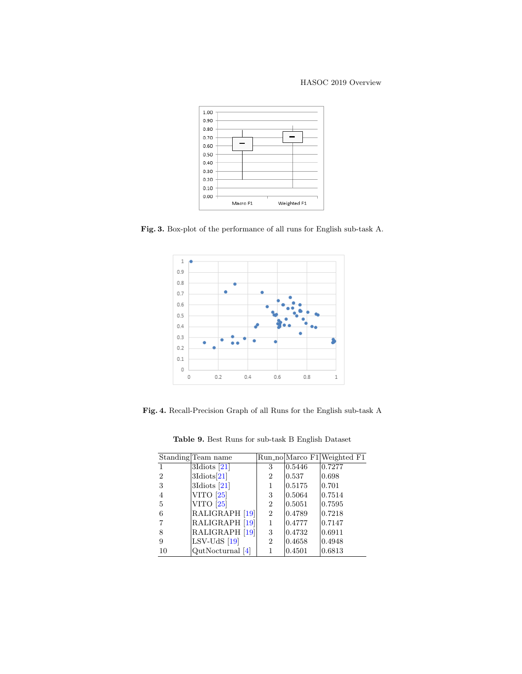### HASOC 2019 Overview



Fig. 3. Box-plot of the performance of all runs for English sub-task A.

<span id="page-10-0"></span>

<span id="page-10-1"></span>Fig. 4. Recall-Precision Graph of all Runs for the English sub-task A

<span id="page-10-2"></span>Table 9. Best Runs for sub-task B English Dataset

|                | Standing Team name |                |        | Run_no Marco F1 Weighted F1 |
|----------------|--------------------|----------------|--------|-----------------------------|
|                | $3$ Idiots $[21]$  | 3              | 0.5446 | 0.7277                      |
| $\overline{2}$ | $3$ Idiots $[21]$  | 2              | 0.537  | 0.698                       |
| 3              | 3Idiots $[21]$     | 1              | 0.5175 | 0.701                       |
| 4              | VITO $[25]$        | 3              | 0.5064 | 0.7514                      |
| 5              | VITO $[25]$        | 2              | 0.5051 | 0.7595                      |
| 6              | RALIGRAPH [19]     | $\overline{2}$ | 0.4789 | 0.7218                      |
|                | RALIGRAPH [19]     | 1              | 0.4777 | 0.7147                      |
| 8              | RALIGRAPH [19]     | 3              | 0.4732 | 0.6911                      |
| 9              | $LSV-UdS$ [19]     | 2              | 0.4658 | 0.4948                      |
| 10             | $QutNoturnal$ [4]  | 1              | 0.4501 | 0.6813                      |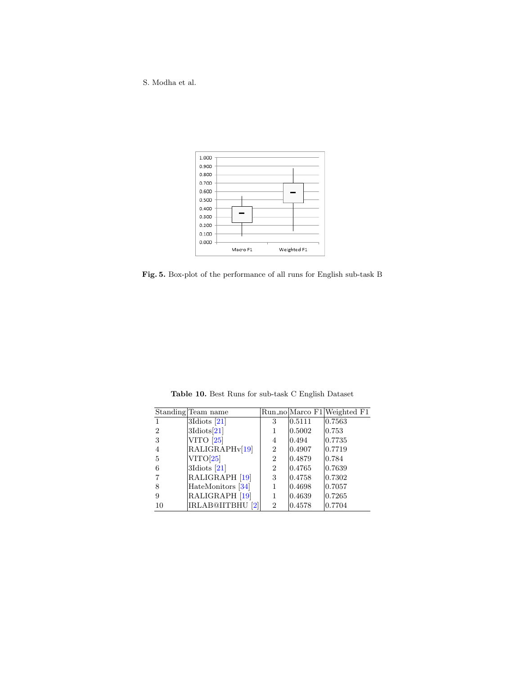S. Modha et al.



<span id="page-11-1"></span>Fig. 5. Box-plot of the performance of all runs for English sub-task B

|    | Standing Team name          |   |        | Run_no Marco F1 Weighted F1 |
|----|-----------------------------|---|--------|-----------------------------|
|    | 3Idiots $[21]$              | 3 | 0.5111 | 0.7563                      |
| 2  | $3$ Idiots $[21]$           | 1 | 0.5002 | $\vert 0.753 \vert$         |
| 3  | VITO $[25]$                 | 4 | 0.494  | 0.7735                      |
| 4  | RALIGRAPH <sub>v</sub> [19] | 2 | 0.4907 | 0.7719                      |
| 5  | VITO[25]                    | 2 | 0.4879 | 0.784                       |
| 6  | 3Idiots $[21]$              | 2 | 0.4765 | 0.7639                      |
|    | RALIGRAPH [19]              | 3 | 0.4758 | $ 0.7302\rangle$            |
| 8  | HateMonitors [34]           | 1 | 0.4698 | 0.7057                      |
| 9  | RALIGRAPH [19]              | 1 | 0.4639 | 0.7265                      |
| 10 | IRLAB@IITBHU <sup>[2]</sup> | 2 | 0.4578 | 0.7704                      |

<span id="page-11-0"></span>Table 10. Best Runs for sub-task C English Dataset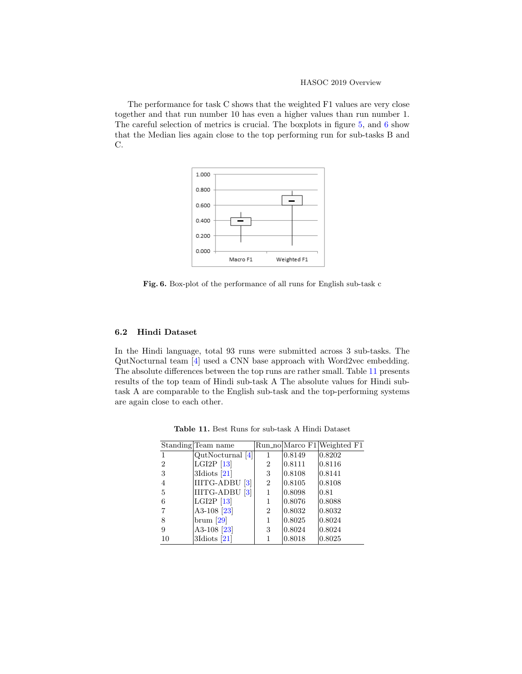HASOC 2019 Overview

The performance for task C shows that the weighted F1 values are very close together and that run number 10 has even a higher values than run number 1. The careful selection of metrics is crucial. The boxplots in figure [5,](#page-11-1) and [6](#page-12-0) show that the Median lies again close to the top performing run for sub-tasks B and C.



<span id="page-12-0"></span>Fig. 6. Box-plot of the performance of all runs for English sub-task c

### 6.2 Hindi Dataset

In the Hindi language, total 93 runs were submitted across 3 sub-tasks. The QutNocturnal team [\[4\]](#page-18-9) used a CNN base approach with Word2vec embedding. The absolute differences between the top runs are rather small. Table [11](#page-12-1) presents results of the top team of Hindi sub-task A The absolute values for Hindi subtask A are comparable to the English sub-task and the top-performing systems are again close to each other.

|                | Standing Team name       |                |                  | Run_no Marco F1 Weighted F1 |
|----------------|--------------------------|----------------|------------------|-----------------------------|
|                | $QutNoturnal$ [4]        |                | 0.8149           | 0.8202                      |
| $\overline{2}$ | LGI <sub>2P</sub> $[13]$ | 2              | 0.8111           | 0.8116                      |
| 3              | 3Idiots $[21]$           | 3              | 0.8108           | 0.8141                      |
| 4              | IIITG-ADBU [3]           | 2              | 0.8105           | 0.8108                      |
| 5              | IIITG-ADBU [3]           | 1              | 0.8098           | 0.81                        |
| 6              | LGI2P $[13]$             |                | 0.8076           | 0.8088                      |
|                | A3-108 <sup>[23]</sup>   | $\overline{2}$ | $ 0.8032\rangle$ | 0.8032                      |
| 8              | brum [29]                |                | 0.8025           | 0.8024                      |
| 9              | A3-108 <sup>[23]</sup>   | 3              | 0.8024           | 0.8024                      |
| 10             | 3Idiots $[21]$           |                | 0.8018           | 0.8025                      |

<span id="page-12-1"></span>Table 11. Best Runs for sub-task A Hindi Dataset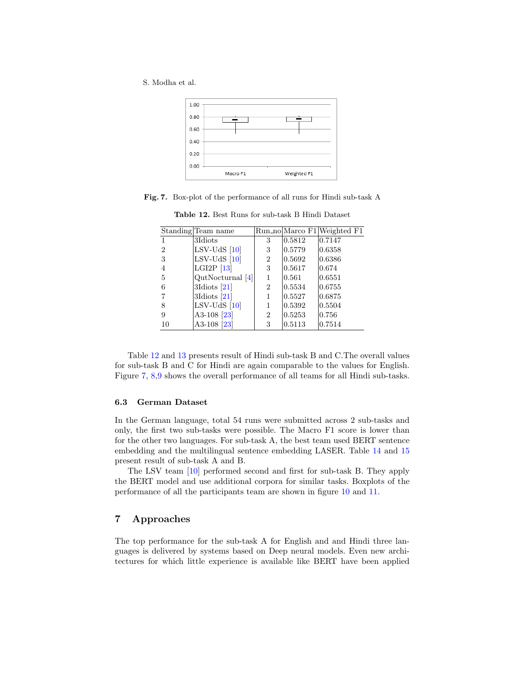S. Modha et al.



Fig. 7. Box-plot of the performance of all runs for Hindi sub-task A

<span id="page-13-1"></span><span id="page-13-0"></span>Table 12. Best Runs for sub-task B Hindi Dataset

|                | Standing Team name       |                |                      | Run_no Marco F1 Weighted F1 |
|----------------|--------------------------|----------------|----------------------|-----------------------------|
|                | 3Idiots                  | 3              | $ 0.5812\rangle$     | 0.7147                      |
| $\overline{2}$ | $LSV-UdS$ [10]           | 3              | $\vert 0.5779 \vert$ | 0.6358                      |
| 3              | $LSV-UdS$ [10]           | $\overline{2}$ | $\vert 0.5692 \vert$ | 0.6386                      |
| $\overline{4}$ | LGI <sub>2P</sub> $[13]$ | 3              | 0.5617               | 0.674                       |
| 5              | $QutNoturnal$ [4]        | 1              | $\vert 0.561 \vert$  | 0.6551                      |
| 6              | 3Idiots $[21]$           | 2              | 0.5534               | 0.6755                      |
|                | 3Idiots $[21]$           | 1              | $\vert 0.5527 \vert$ | 0.6875                      |
| 8              | $LSV-UdS$ [10]           | 1              | $\vert 0.5392 \vert$ | 0.5504                      |
| 9              | A3-108 $[23]$            | 2              | 0.5253               | 0.756                       |
| 10             | A3-108 $[23]$            | 3              | 0.5113               | 0.7514                      |

Table [12](#page-13-0) and [13](#page-14-0) presents result of Hindi sub-task B and C.The overall values for sub-task B and C for Hindi are again comparable to the values for English. Figure [7,](#page-13-1) [8,](#page-14-1)[9](#page-14-2) shows the overall performance of all teams for all Hindi sub-tasks.

### 6.3 German Dataset

In the German language, total 54 runs were submitted across 2 sub-tasks and only, the first two sub-tasks were possible. The Macro F1 score is lower than for the other two languages. For sub-task A, the best team used BERT sentence embedding and the multilingual sentence embedding LASER. Table [14](#page-15-0) and [15](#page-15-1) present result of sub-task A and B.

The LSV team [\[10\]](#page-18-10) performed second and first for sub-task B. They apply the BERT model and use additional corpora for similar tasks. Boxplots of the performance of all the participants team are shown in figure [10](#page-15-2) and [11.](#page-16-0)

# 7 Approaches

The top performance for the sub-task A for English and and Hindi three languages is delivered by systems based on Deep neural models. Even new architectures for which little experience is available like BERT have been applied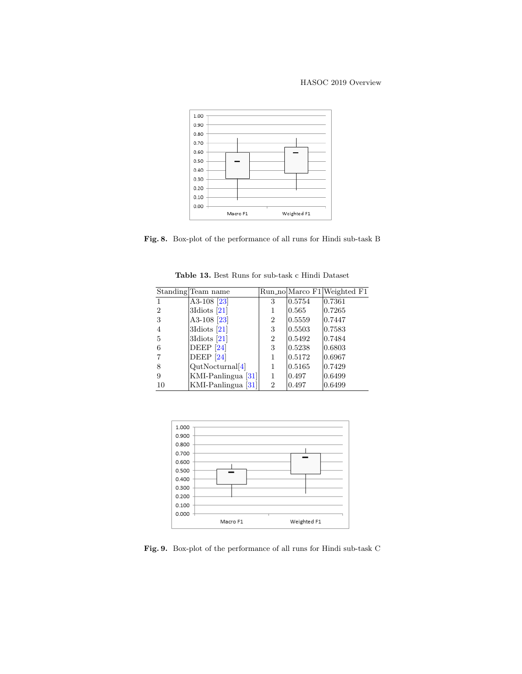### HASOC 2019 Overview



<span id="page-14-1"></span>Fig. 8. Box-plot of the performance of all runs for Hindi sub-task B

|    | Standing Team name     |                |                      | Run_no Marco F1 Weighted F1 |
|----|------------------------|----------------|----------------------|-----------------------------|
|    | A3-108 $[23]$          | 3              | $\vert 0.5754 \vert$ | 0.7361                      |
| 2  | 3Idiots $[21]$         | 1              | 0.565                | 0.7265                      |
| 3  | A3-108 <sup>[23]</sup> | 2              | $\vert 0.5559 \vert$ | 0.7447                      |
| 4  | 3Idiots $[21]$         | 3              | 0.5503               | 0.7583                      |
| 5  | 3Idiots $[21]$         | $\overline{2}$ | 0.5492               | 0.7484                      |
| 6  | <b>DEEP</b> [24]       | 3              | 0.5238               | 0.6803                      |
|    | DEEP $[24]$            | 1              | 0.5172               | 0.6967                      |
| 8  | QutNoturnal[4]         | 1              | 0.5165               | 0.7429                      |
| 9  | KMI-Panlingua $[31]$   | 1              | 0.497                | 0.6499                      |
| 10 | KMI-Panlingua [31]     | $\overline{2}$ | 0.497                | 0.6499                      |

<span id="page-14-0"></span>Table 13. Best Runs for sub-task c Hindi Dataset



<span id="page-14-2"></span>Fig. 9. Box-plot of the performance of all runs for Hindi sub-task C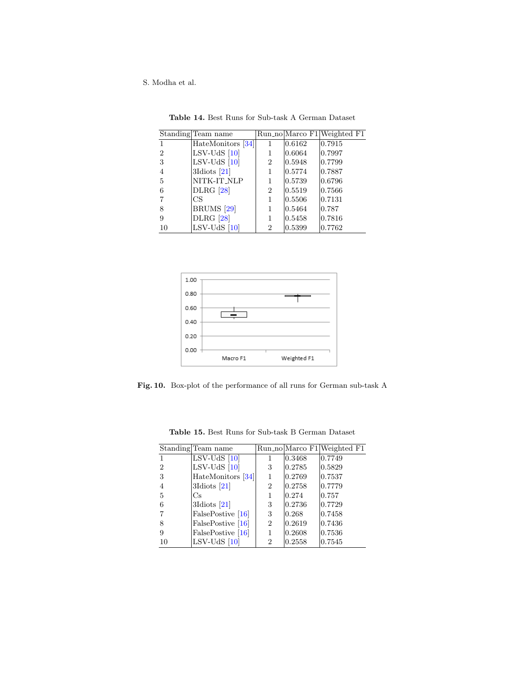|                | Standing Team name    |   |        | Run_no Marco F1 Weighted F1 |
|----------------|-----------------------|---|--------|-----------------------------|
|                | HateMonitors [34]     |   | 0.6162 | 0.7915                      |
| $\overline{2}$ | $LSV-UdS$ [10]        | 1 | 0.6064 | 0.7997                      |
| 3              | $LSV-UdS$ [10]        | 2 | 0.5948 | 0.7799                      |
| 4              | 3Idiots $[21]$        | 1 | 0.5774 | 0.7887                      |
| 5              | NITK-IT_NLP           | 1 | 0.5739 | 0.6796                      |
| 6              | <b>DLRG</b> [28]      | 2 | 0.5519 | 0.7566                      |
|                | CS                    | 1 | 0.5506 | 0.7131                      |
| 8              | BRUMS <sup>[29]</sup> | 1 | 0.5464 | 0.787                       |
| 9              | <b>DLRG</b> [28]      | 1 | 0.5458 | 0.7816                      |
| 10             | $LSV-UdS$ [10]        | 2 | 0.5399 | 0.7762                      |

<span id="page-15-0"></span>Table 14. Best Runs for Sub-task A German Dataset



<span id="page-15-2"></span>Fig. 10. Box-plot of the performance of all runs for German sub-task A

|                | Standing Team name |                |        | Run_no Marco F1 Weighted F1 |
|----------------|--------------------|----------------|--------|-----------------------------|
|                | $LSV-UdS$ [10]     |                | 0.3468 | 0.7749                      |
| $\overline{2}$ | $LSV-UdS$ [10]     | 3              | 0.2785 | 0.5829                      |
| 3              | HateMonitors [34]  | 1              | 0.2769 | 0.7537                      |
| 4              | $3$ Idiots $[21]$  | 2              | 0.2758 | 0.7779                      |
| 5              | Cs                 |                | 0.274  | 0.757                       |
| 6              | $3$ Idiots $[21]$  | 3              | 0.2736 | 0.7729                      |
|                | FalsePostive [16]  | 3              | 0.268  | 0.7458                      |
| 8              | FalsePostive [16]  | $\overline{2}$ | 0.2619 | 0.7436                      |
| 9              | FalsePostive [16]  | 1              | 0.2608 | 0.7536                      |
| 10             | $LSV-UdS$ [10]     | 2              | 0.2558 | 0.7545                      |

<span id="page-15-1"></span>Table 15. Best Runs for Sub-task B German Dataset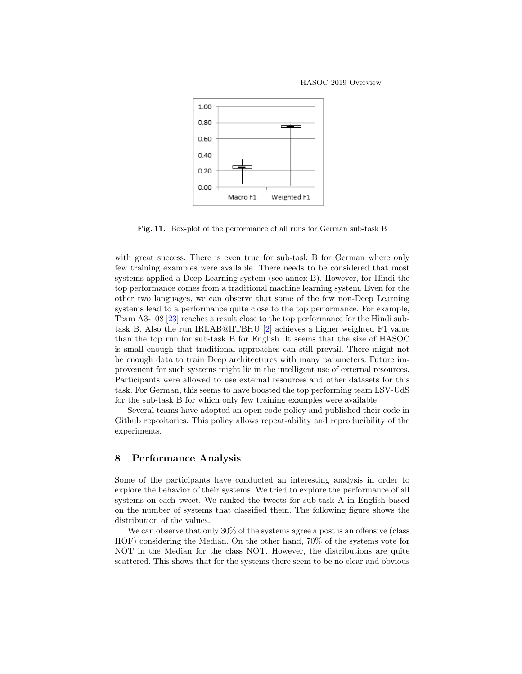

<span id="page-16-0"></span>Fig. 11. Box-plot of the performance of all runs for German sub-task B

with great success. There is even true for sub-task B for German where only few training examples were available. There needs to be considered that most systems applied a Deep Learning system (see annex B). However, for Hindi the top performance comes from a traditional machine learning system. Even for the other two languages, we can observe that some of the few non-Deep Learning systems lead to a performance quite close to the top performance. For example, Team A3-108 [\[23\]](#page-19-10) reaches a result close to the top performance for the Hindi subtask B. Also the run IRLAB@IITBHU [\[2\]](#page-18-11) achieves a higher weighted F1 value than the top run for sub-task B for English. It seems that the size of HASOC is small enough that traditional approaches can still prevail. There might not be enough data to train Deep architectures with many parameters. Future improvement for such systems might lie in the intelligent use of external resources. Participants were allowed to use external resources and other datasets for this task. For German, this seems to have boosted the top performing team LSV-UdS for the sub-task B for which only few training examples were available.

Several teams have adopted an open code policy and published their code in Github repositories. This policy allows repeat-ability and reproducibility of the experiments.

# 8 Performance Analysis

Some of the participants have conducted an interesting analysis in order to explore the behavior of their systems. We tried to explore the performance of all systems on each tweet. We ranked the tweets for sub-task A in English based on the number of systems that classified them. The following figure shows the distribution of the values.

We can observe that only 30% of the systems agree a post is an offensive (class HOF) considering the Median. On the other hand, 70% of the systems vote for NOT in the Median for the class NOT. However, the distributions are quite scattered. This shows that for the systems there seem to be no clear and obvious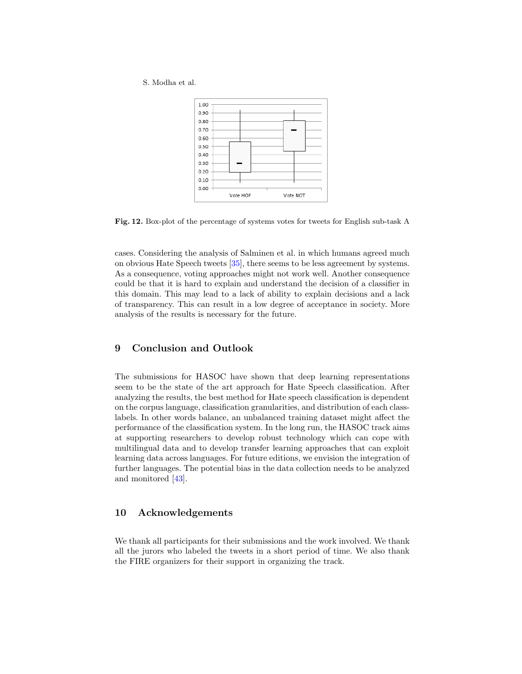

Fig. 12. Box-plot of the percentage of systems votes for tweets for English sub-task A

cases. Considering the analysis of Salminen et al. in which humans agreed much on obvious Hate Speech tweets [\[35\]](#page-20-9), there seems to be less agreement by systems. As a consequence, voting approaches might not work well. Another consequence could be that it is hard to explain and understand the decision of a classifier in this domain. This may lead to a lack of ability to explain decisions and a lack of transparency. This can result in a low degree of acceptance in society. More analysis of the results is necessary for the future.

# 9 Conclusion and Outlook

The submissions for HASOC have shown that deep learning representations seem to be the state of the art approach for Hate Speech classification. After analyzing the results, the best method for Hate speech classification is dependent on the corpus language, classification granularities, and distribution of each classlabels. In other words balance, an unbalanced training dataset might affect the performance of the classification system. In the long run, the HASOC track aims at supporting researchers to develop robust technology which can cope with multilingual data and to develop transfer learning approaches that can exploit learning data across languages. For future editions, we envision the integration of further languages. The potential bias in the data collection needs to be analyzed and monitored [\[43\]](#page-20-7).

# 10 Acknowledgements

We thank all participants for their submissions and the work involved. We thank all the jurors who labeled the tweets in a short period of time. We also thank the FIRE organizers for their support in organizing the track.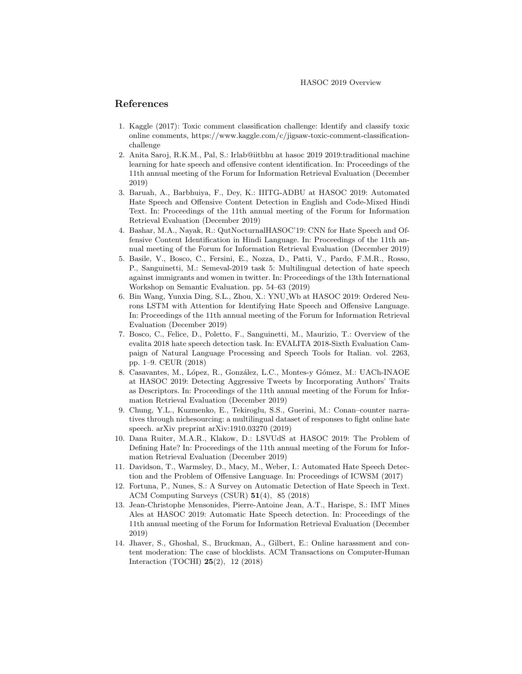### References

- <span id="page-18-3"></span>1. Kaggle (2017): Toxic comment classification challenge: Identify and classify toxic online comments, https://www.kaggle.com/c/jigsaw-toxic-comment-classificationchallenge
- <span id="page-18-11"></span>2. Anita Saroj, R.K.M., Pal, S.: Irlab@iitbhu at hasoc 2019 2019:traditional machine learning for hate speech and offensive content identification. In: Proceedings of the 11th annual meeting of the Forum for Information Retrieval Evaluation (December 2019)
- <span id="page-18-8"></span>3. Baruah, A., Barbhuiya, F., Dey, K.: IIITG-ADBU at HASOC 2019: Automated Hate Speech and Offensive Content Detection in English and Code-Mixed Hindi Text. In: Proceedings of the 11th annual meeting of the Forum for Information Retrieval Evaluation (December 2019)
- <span id="page-18-9"></span>4. Bashar, M.A., Nayak, R.: QutNocturnalHASOC'19: CNN for Hate Speech and Offensive Content Identification in Hindi Language. In: Proceedings of the 11th annual meeting of the Forum for Information Retrieval Evaluation (December 2019)
- <span id="page-18-1"></span>5. Basile, V., Bosco, C., Fersini, E., Nozza, D., Patti, V., Pardo, F.M.R., Rosso, P., Sanguinetti, M.: Semeval-2019 task 5: Multilingual detection of hate speech against immigrants and women in twitter. In: Proceedings of the 13th International Workshop on Semantic Evaluation. pp. 54–63 (2019)
- <span id="page-18-7"></span>6. Bin Wang, Yunxia Ding, S.L., Zhou, X.: YNU Wb at HASOC 2019: Ordered Neurons LSTM with Attention for Identifying Hate Speech and Offensive Language. In: Proceedings of the 11th annual meeting of the Forum for Information Retrieval Evaluation (December 2019)
- <span id="page-18-2"></span>7. Bosco, C., Felice, D., Poletto, F., Sanguinetti, M., Maurizio, T.: Overview of the evalita 2018 hate speech detection task. In: EVALITA 2018-Sixth Evaluation Campaign of Natural Language Processing and Speech Tools for Italian. vol. 2263, pp. 1–9. CEUR (2018)
- <span id="page-18-13"></span>8. Casavantes, M., López, R., González, L.C., Montes-y Gómez, M.: UACh-INAOE at HASOC 2019: Detecting Aggressive Tweets by Incorporating Authors' Traits as Descriptors. In: Proceedings of the 11th annual meeting of the Forum for Information Retrieval Evaluation (December 2019)
- <span id="page-18-4"></span>9. Chung, Y.L., Kuzmenko, E., Tekiroglu, S.S., Guerini, M.: Conan–counter narratives through nichesourcing: a multilingual dataset of responses to fight online hate speech. arXiv preprint arXiv:1910.03270 (2019)
- <span id="page-18-10"></span>10. Dana Ruiter, M.A.R., Klakow, D.: LSVUdS at HASOC 2019: The Problem of Defining Hate? In: Proceedings of the 11th annual meeting of the Forum for Information Retrieval Evaluation (December 2019)
- <span id="page-18-5"></span>11. Davidson, T., Warmsley, D., Macy, M., Weber, I.: Automated Hate Speech Detection and the Problem of Offensive Language. In: Proceedings of ICWSM (2017)
- <span id="page-18-0"></span>12. Fortuna, P., Nunes, S.: A Survey on Automatic Detection of Hate Speech in Text. ACM Computing Surveys (CSUR) 51(4), 85 (2018)
- <span id="page-18-12"></span>13. Jean-Christophe Mensonides, Pierre-Antoine Jean, A.T., Harispe, S.: IMT Mines Ales at HASOC 2019: Automatic Hate Speech detection. In: Proceedings of the 11th annual meeting of the Forum for Information Retrieval Evaluation (December 2019)
- <span id="page-18-6"></span>14. Jhaver, S., Ghoshal, S., Bruckman, A., Gilbert, E.: Online harassment and content moderation: The case of blocklists. ACM Transactions on Computer-Human Interaction (TOCHI) 25(2), 12 (2018)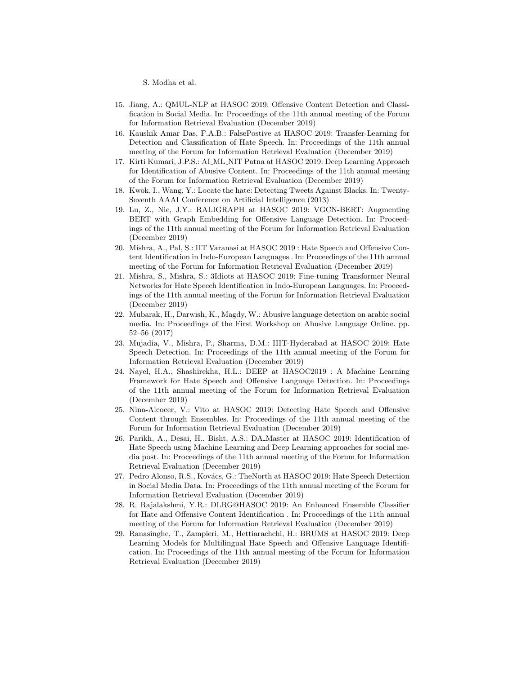- <span id="page-19-5"></span>15. Jiang, A.: QMUL-NLP at HASOC 2019: Offensive Content Detection and Classification in Social Media. In: Proceedings of the 11th annual meeting of the Forum for Information Retrieval Evaluation (December 2019)
- <span id="page-19-9"></span>16. Kaushik Amar Das, F.A.B.: FalsePostive at HASOC 2019: Transfer-Learning for Detection and Classification of Hate Speech. In: Proceedings of the 11th annual meeting of the Forum for Information Retrieval Evaluation (December 2019)
- <span id="page-19-7"></span>17. Kirti Kumari, J.P.S.: AI ML NIT Patna at HASOC 2019: Deep Learning Approach for Identification of Abusive Content. In: Proceedings of the 11th annual meeting of the Forum for Information Retrieval Evaluation (December 2019)
- <span id="page-19-0"></span>18. Kwok, I., Wang, Y.: Locate the hate: Detecting Tweets Against Blacks. In: Twenty-Seventh AAAI Conference on Artificial Intelligence (2013)
- <span id="page-19-6"></span>19. Lu, Z., Nie, J.Y.: RALIGRAPH at HASOC 2019: VGCN-BERT: Augmenting BERT with Graph Embedding for Offensive Language Detection. In: Proceedings of the 11th annual meeting of the Forum for Information Retrieval Evaluation (December 2019)
- <span id="page-19-13"></span>20. Mishra, A., Pal, S.: IIT Varanasi at HASOC 2019 : Hate Speech and Offensive Content Identification in Indo-European Languages . In: Proceedings of the 11th annual meeting of the Forum for Information Retrieval Evaluation (December 2019)
- <span id="page-19-4"></span>21. Mishra, S., Mishra, S.: 3Idiots at HASOC 2019: Fine-tuning Transformer Neural Networks for Hate Speech Identification in Indo-European Languages. In: Proceedings of the 11th annual meeting of the Forum for Information Retrieval Evaluation (December 2019)
- <span id="page-19-1"></span>22. Mubarak, H., Darwish, K., Magdy, W.: Abusive language detection on arabic social media. In: Proceedings of the First Workshop on Abusive Language Online. pp. 52–56 (2017)
- <span id="page-19-10"></span>23. Mujadia, V., Mishra, P., Sharma, D.M.: IIIT-Hyderabad at HASOC 2019: Hate Speech Detection. In: Proceedings of the 11th annual meeting of the Forum for Information Retrieval Evaluation (December 2019)
- <span id="page-19-8"></span>24. Nayel, H.A., Shashirekha, H.L.: DEEP at HASOC2019 : A Machine Learning Framework for Hate Speech and Offensive Language Detection. In: Proceedings of the 11th annual meeting of the Forum for Information Retrieval Evaluation (December 2019)
- <span id="page-19-3"></span>25. Nina-Alcocer, V.: Vito at HASOC 2019: Detecting Hate Speech and Offensive Content through Ensembles. In: Proceedings of the 11th annual meeting of the Forum for Information Retrieval Evaluation (December 2019)
- <span id="page-19-12"></span>26. Parikh, A., Desai, H., Bisht, A.S.: DA Master at HASOC 2019: Identification of Hate Speech using Machine Learning and Deep Learning approaches for social media post. In: Proceedings of the 11th annual meeting of the Forum for Information Retrieval Evaluation (December 2019)
- <span id="page-19-14"></span>27. Pedro Alonso, R.S., Kovács, G.: TheNorth at HASOC 2019: Hate Speech Detection in Social Media Data. In: Proceedings of the 11th annual meeting of the Forum for Information Retrieval Evaluation (December 2019)
- <span id="page-19-11"></span>28. R. Rajalakshmi, Y.R.: DLRG@HASOC 2019: An Enhanced Ensemble Classifier for Hate and Offensive Content Identification . In: Proceedings of the 11th annual meeting of the Forum for Information Retrieval Evaluation (December 2019)
- <span id="page-19-2"></span>29. Ranasinghe, T., Zampieri, M., Hettiarachchi, H.: BRUMS at HASOC 2019: Deep Learning Models for Multilingual Hate Speech and Offensive Language Identification. In: Proceedings of the 11th annual meeting of the Forum for Information Retrieval Evaluation (December 2019)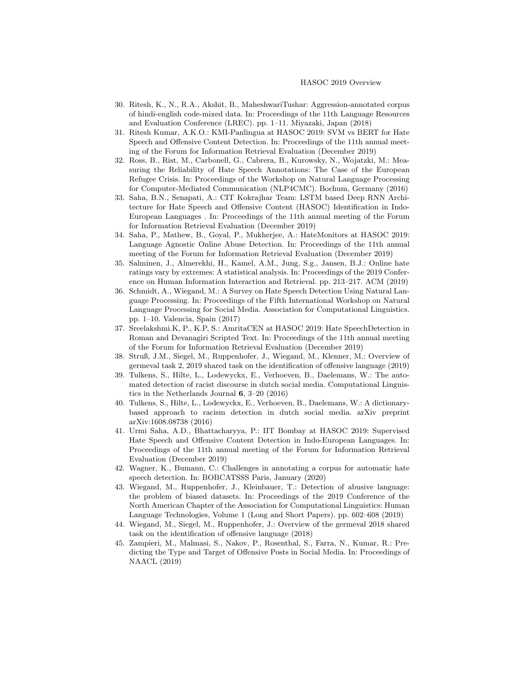- <span id="page-20-5"></span>30. Ritesh, K., N., R.A., Akshit, B., MaheshwariTushar: Aggression-annotated corpus of hindi-english code-mixed data. In: Proceedings of the 11th Language Resources and Evaluation Conference (LREC). pp. 1–11. Miyazaki, Japan (2018)
- <span id="page-20-12"></span>31. Ritesh Kumar, A.K.O.: KMI-Panlingua at HASOC 2019: SVM vs BERT for Hate Speech and Offensive Content Detection. In: Proceedings of the 11th annual meeting of the Forum for Information Retrieval Evaluation (December 2019)
- <span id="page-20-8"></span>32. Ross, B., Rist, M., Carbonell, G., Cabrera, B., Kurowsky, N., Wojatzki, M.: Measuring the Reliability of Hate Speech Annotations: The Case of the European Refugee Crisis. In: Proceedings of the Workshop on Natural Language Processing for Computer-Mediated Communication (NLP4CMC). Bochum, Germany (2016)
- <span id="page-20-15"></span>33. Saha, B.N., Senapati, A.: CIT Kokrajhar Team: LSTM based Deep RNN Architecture for Hate Speech and Offensive Content (HASOC) Identification in Indo-European Languages . In: Proceedings of the 11th annual meeting of the Forum for Information Retrieval Evaluation (December 2019)
- <span id="page-20-11"></span>34. Saha, P., Mathew, B., Goyal, P., Mukherjee, A.: HateMonitors at HASOC 2019: Language Agnostic Online Abuse Detection. In: Proceedings of the 11th annual meeting of the Forum for Information Retrieval Evaluation (December 2019)
- <span id="page-20-9"></span>35. Salminen, J., Almerekhi, H., Kamel, A.M., Jung, S.g., Jansen, B.J.: Online hate ratings vary by extremes: A statistical analysis. In: Proceedings of the 2019 Conference on Human Information Interaction and Retrieval. pp. 213–217. ACM (2019)
- <span id="page-20-0"></span>36. Schmidt, A., Wiegand, M.: A Survey on Hate Speech Detection Using Natural Language Processing. In: Proceedings of the Fifth International Workshop on Natural Language Processing for Social Media. Association for Computational Linguistics. pp. 1–10. Valencia, Spain (2017)
- <span id="page-20-14"></span>37. Sreelakshmi.K, P., K.P, S.: AmritaCEN at HASOC 2019: Hate SpeechDetection in Roman and Devanagiri Scripted Text. In: Proceedings of the 11th annual meeting of the Forum for Information Retrieval Evaluation (December 2019)
- <span id="page-20-3"></span>38. Struß, J.M., Siegel, M., Ruppenhofer, J., Wiegand, M., Klenner, M.: Overview of germeval task 2, 2019 shared task on the identification of offensive language (2019)
- <span id="page-20-2"></span>39. Tulkens, S., Hilte, L., Lodewyckx, E., Verhoeven, B., Daelemans, W.: The automated detection of racist discourse in dutch social media. Computational Linguistics in the Netherlands Journal 6, 3–20 (2016)
- <span id="page-20-6"></span>40. Tulkens, S., Hilte, L., Lodewyckx, E., Verhoeven, B., Daelemans, W.: A dictionarybased approach to racism detection in dutch social media. arXiv preprint arXiv:1608.08738 (2016)
- <span id="page-20-13"></span>41. Urmi Saha, A.D., Bhattacharyya, P.: IIT Bombay at HASOC 2019: Supervised Hate Speech and Offensive Content Detection in Indo-European Languages. In: Proceedings of the 11th annual meeting of the Forum for Information Retrieval Evaluation (December 2019)
- <span id="page-20-10"></span>42. Wagner, K., Bumann, C.: Challenges in annotating a corpus for automatic hate speech detection. In: BOBCATSSS Paris, January (2020)
- <span id="page-20-7"></span>43. Wiegand, M., Ruppenhofer, J., Kleinbauer, T.: Detection of abusive language: the problem of biased datasets. In: Proceedings of the 2019 Conference of the North American Chapter of the Association for Computational Linguistics: Human Language Technologies, Volume 1 (Long and Short Papers). pp. 602–608 (2019)
- <span id="page-20-1"></span>44. Wiegand, M., Siegel, M., Ruppenhofer, J.: Overview of the germeval 2018 shared task on the identification of offensive language (2018)
- <span id="page-20-4"></span>45. Zampieri, M., Malmasi, S., Nakov, P., Rosenthal, S., Farra, N., Kumar, R.: Predicting the Type and Target of Offensive Posts in Social Media. In: Proceedings of NAACL (2019)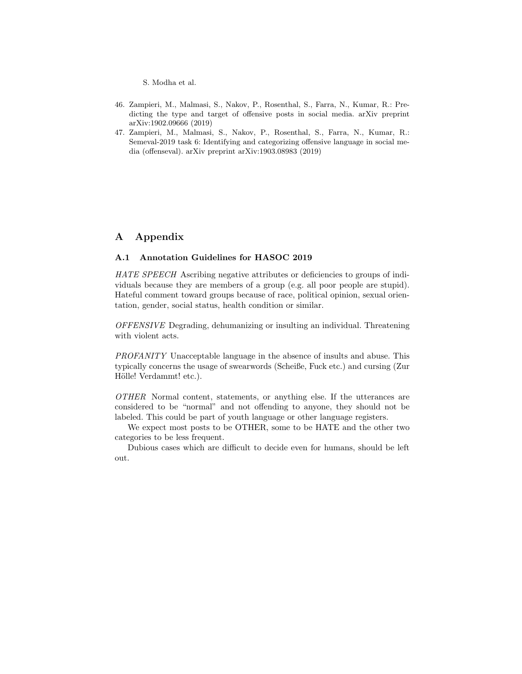- <span id="page-21-1"></span>46. Zampieri, M., Malmasi, S., Nakov, P., Rosenthal, S., Farra, N., Kumar, R.: Predicting the type and target of offensive posts in social media. arXiv preprint arXiv:1902.09666 (2019)
- <span id="page-21-0"></span>47. Zampieri, M., Malmasi, S., Nakov, P., Rosenthal, S., Farra, N., Kumar, R.: Semeval-2019 task 6: Identifying and categorizing offensive language in social media (offenseval). arXiv preprint arXiv:1903.08983 (2019)

# A Appendix

# A.1 Annotation Guidelines for HASOC 2019

HATE SPEECH Ascribing negative attributes or deficiencies to groups of individuals because they are members of a group (e.g. all poor people are stupid). Hateful comment toward groups because of race, political opinion, sexual orientation, gender, social status, health condition or similar.

OFFENSIVE Degrading, dehumanizing or insulting an individual. Threatening with violent acts.

PROFANITY Unacceptable language in the absence of insults and abuse. This typically concerns the usage of swearwords (Scheiße, Fuck etc.) and cursing (Zur Hölle! Verdammt! etc.).

OTHER Normal content, statements, or anything else. If the utterances are considered to be "normal" and not offending to anyone, they should not be labeled. This could be part of youth language or other language registers.

We expect most posts to be OTHER, some to be HATE and the other two categories to be less frequent.

Dubious cases which are difficult to decide even for humans, should be left out.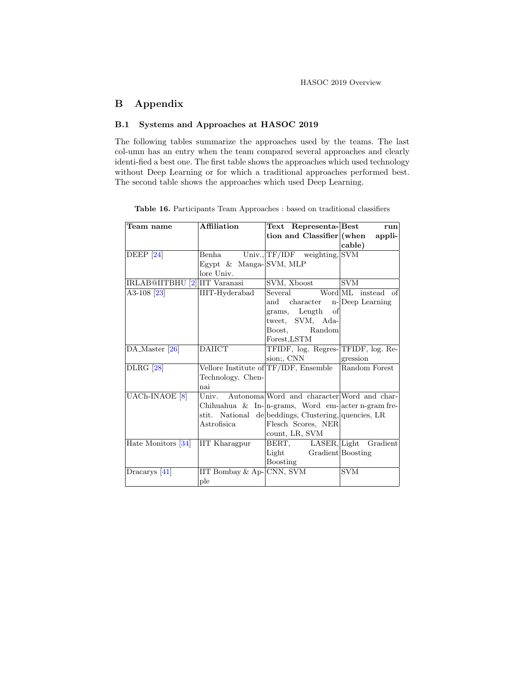# B Appendix

# B.1 Systems and Approaches at HASOC 2019

The following tables summarize the approaches used by the teams. The last col-umn has an entry when the team compared several approaches and clearly identi-fied a best one. The first table shows the approaches which used technology without Deep Learning or for which a traditional approaches performed best. The second table shows the approaches which used Deep Learning.

Table 16. Participants Team Approaches : based on traditional classifiers

| Team name                     | Affiliation               | Text Representa-Best                                                | run                |
|-------------------------------|---------------------------|---------------------------------------------------------------------|--------------------|
|                               |                           | tion and Classifier (when                                           | appli-             |
|                               |                           |                                                                     | cable)             |
| DEEP $[24]$                   | Benha                     | $Univ., TF/IDF \text{ weighting}, SYM$                              |                    |
|                               | Egypt $\&$ Manga-SVM, MLP |                                                                     |                    |
|                               | lore Univ.                |                                                                     |                    |
| IRLAB@IITBHU [2] IIT Varanasi |                           | SVM, Xboost                                                         | <b>SVM</b>         |
| A3-108 <sup>[23]</sup>        | IIIT-Hyderabad            | Several                                                             | Word ML instead of |
|                               |                           | and character                                                       | n-Deep Learning    |
|                               |                           | grams, Length<br>of                                                 |                    |
|                               |                           | tweet, SVM, Ada-                                                    |                    |
|                               |                           | Boost,<br>Random                                                    |                    |
|                               |                           | Forest, LSTM                                                        |                    |
| DA_Master [26]                | <b>DAIICT</b>             | TFIDF, log. Regres-TFIDF, log. Re-                                  |                    |
|                               |                           | sion;, CNN                                                          | gression           |
| <b>DLRG</b> [28]              |                           | Vellore Institute of TF/IDF, Ensemble                               | Random Forest      |
|                               | Technology, Chen-         |                                                                     |                    |
|                               | nai                       |                                                                     |                    |
| UACh-INAOE <sup>[8]</sup>     |                           | Univ. Autonoma Word and character Word and char-                    |                    |
|                               |                           | Chihuahua & In- $\vert$ n-grams, Word em- $\vert$ acter n-gram fre- |                    |
|                               |                           | stit. National de beddings, Clustering, quencies, LR                |                    |
|                               | Astrofisica               | Flesch Scores, NER                                                  |                    |
|                               |                           | count, LR, SVM                                                      |                    |
| Hate Monitors [34]            | <b>IIT Kharagpur</b>      | BERT, LASER, Light Gradient                                         |                    |
|                               |                           | Light Gradient Boosting                                             |                    |
|                               |                           | Boosting                                                            |                    |
| $Dracarys$ [41]               | IIT Bombay & Ap-CNN, SVM  |                                                                     | <b>SVM</b>         |
|                               | ple                       |                                                                     |                    |